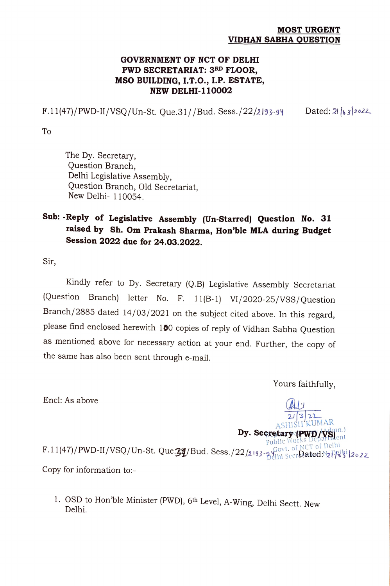## MOST URGENT VIDHAN SABHA QUESTION

## GOVERNMENT OF NCT OF DELHI PWD SECRETARIAT: 3RD FLOOR, MSO BUILDING, I.T.O., I.P. ESTATE, NEW DELHI-110002

F.11(47)/PWD-II/VSQ/Un-St. Que.31//Bud. Sess./22/2193-94 Dated: 21 | 3|2022

To

The Dy. Secretary, Question Branch, Delhi Legislative Assembly, Question Branch, Old Secretariat, New Delhi- 110054.

## Sub: -Reply of Legislative Assembly (Un-Starred) Question No. 31 raised by Sh. Om Prakash Sharma, Hon'ble MLA during Budget Session 2022 due for 24.03.2022.

Sir,

Kindly refer to Dy. Secretary (Q.B) Legislative Assembly Secretariat (Question Branch) letter No. F. 11(B-1) V1/2020-25/VSS/Question Branch/2885 dated 14/03/2021 on the subject cited above. In this regard, please find enclosed herewith 100 copies of reply of Vidhan Sabha Question as mentioned above for necessary action at your end. Further, the copy of the same has also been sent through e-mail.

Yours faithfully,

 $2J$   $3/2$ <br>ASHISH KUMAR

Encl: As above AL

Dy. Secretary (PWD/VS) F.11(47)/PWD-II/VSQ/Un-St. Que.24/Bud. Sess./22/2193-900t. of NCT of Delhi Gerlated: Copy for information to:-

1. OSD to Hon'ble Minister (PWD), 6th Level, A-Wing, Delhi Sectt. New Delhi.